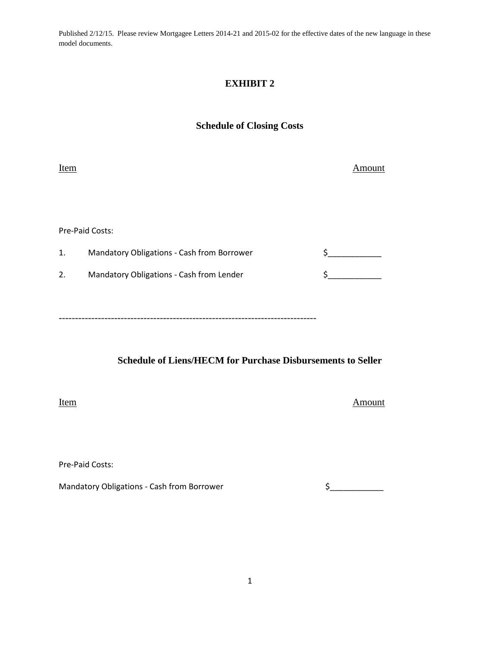Published 2/12/15. Please review Mortgagee Letters 2014-21 and 2015-02 for the effective dates of the new language in these model documents.

## **EXHIBIT 2**

## **Schedule of Closing Costs**

Item Amount

Pre-Paid Costs:

| <b>Mandatory Obligations - Cash from Borrower</b> |  |
|---------------------------------------------------|--|
| Mandatory Obligations - Cash from Lender          |  |
|                                                   |  |

-------------------------------------------------------------------------------

**Schedule of Liens/HECM for Purchase Disbursements to Seller**

Item Amount

Pre-Paid Costs:

Mandatory Obligations - Cash from Borrower  $\zeta$  \_\_\_\_\_\_\_\_\_\_\_\_\_\_\_\_\_\_\_\_\_\_\_\_\_\_\_\_\_\_\_\_